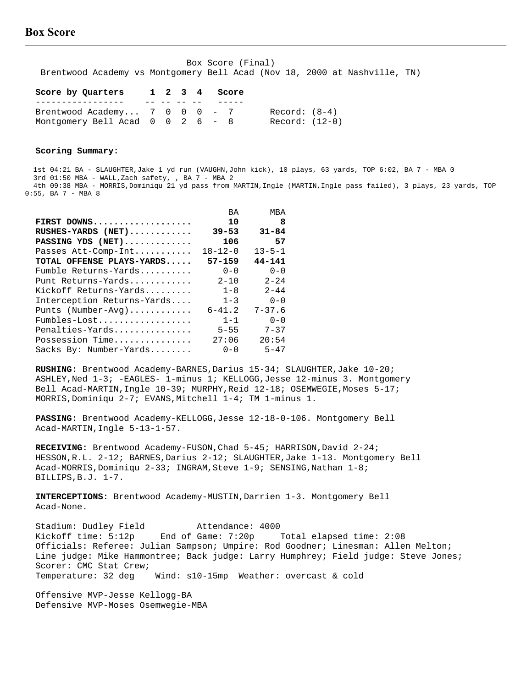Box Score (Final) Brentwood Academy vs Montgomery Bell Acad (Nov 18, 2000 at Nashville, TN)

| Score by Quarters                  |  | 1 2 3 4 | Score |                |
|------------------------------------|--|---------|-------|----------------|
|                                    |  |         |       |                |
| Brentwood Academy $7 \t0 \t0 \t-7$ |  |         |       | Record: (8-4)  |
| Montgomery Bell Acad $0$ 0 2 6 - 8 |  |         |       | Record: (12-0) |

#### **Scoring Summary:**

 1st 04:21 BA - SLAUGHTER,Jake 1 yd run (VAUGHN,John kick), 10 plays, 63 yards, TOP 6:02, BA 7 - MBA 0 3rd 01:50 MBA - WALL,Zach safety, , BA 7 - MBA 2 4th 09:38 MBA - MORRIS,Dominiqu 21 yd pass from MARTIN,Ingle (MARTIN,Ingle pass failed), 3 plays, 23 yards, TOP 0:55, BA 7 - MBA 8

|                            | BA            | MBA          |
|----------------------------|---------------|--------------|
| FIRST DOWNS                | 10            | 8            |
| $RUSHES-YARDS$ (NET)       | $39 - 53$     | $31 - 84$    |
| PASSING YDS (NET)          | 106           | 57           |
| Passes Att-Comp-Int        | $18 - 12 - 0$ | $13 - 5 - 1$ |
| TOTAL OFFENSE PLAYS-YARDS  | $57 - 159$    | $44 - 141$   |
| Fumble Returns-Yards       | $0 - 0$       | $0 - 0$      |
| Punt Returns-Yards         | $2 - 10$      | $2 - 24$     |
| Kickoff Returns-Yards      | $1 - 8$       | $2 - 44$     |
| Interception Returns-Yards | $1 - 3$       | $0 - 0$      |
| Punts (Number-Avg)         | $6 - 41.2$    | $7 - 37.6$   |
| $Fumbles-Lost$             | $1 - 1$       | $0 - 0$      |
| Penalties-Yards            | $5 - 55$      | $7 - 37$     |
| Possession Time            | 27:06         | 20:54        |
| Sacks By: Number-Yards     | $0 - 0$       | $5 - 47$     |

 **RUSHING:** Brentwood Academy-BARNES,Darius 15-34; SLAUGHTER,Jake 10-20; ASHLEY,Ned 1-3; -EAGLES- 1-minus 1; KELLOGG,Jesse 12-minus 3. Montgomery Bell Acad-MARTIN,Ingle 10-39; MURPHY,Reid 12-18; OSEMWEGIE,Moses 5-17; MORRIS,Dominiqu 2-7; EVANS,Mitchell 1-4; TM 1-minus 1.

 **PASSING:** Brentwood Academy-KELLOGG,Jesse 12-18-0-106. Montgomery Bell Acad-MARTIN,Ingle 5-13-1-57.

 **RECEIVING:** Brentwood Academy-FUSON,Chad 5-45; HARRISON,David 2-24; HESSON, R.L. 2-12; BARNES, Darius 2-12; SLAUGHTER, Jake 1-13. Montgomery Bell Acad-MORRIS,Dominiqu 2-33; INGRAM,Steve 1-9; SENSING,Nathan 1-8; BILLIPS,B.J. 1-7.

 **INTERCEPTIONS:** Brentwood Academy-MUSTIN,Darrien 1-3. Montgomery Bell Acad-None.

Stadium: Dudley Field Attendance: 4000 Kickoff time: 5:12p End of Game: 7:20p Total elapsed time: 2:08 Officials: Referee: Julian Sampson; Umpire: Rod Goodner; Linesman: Allen Melton; Line judge: Mike Hammontree; Back judge: Larry Humphrey; Field judge: Steve Jones; Scorer: CMC Stat Crew; Temperature: 32 deg Wind: s10-15mp Weather: overcast & cold

 Offensive MVP-Jesse Kellogg-BA Defensive MVP-Moses Osemwegie-MBA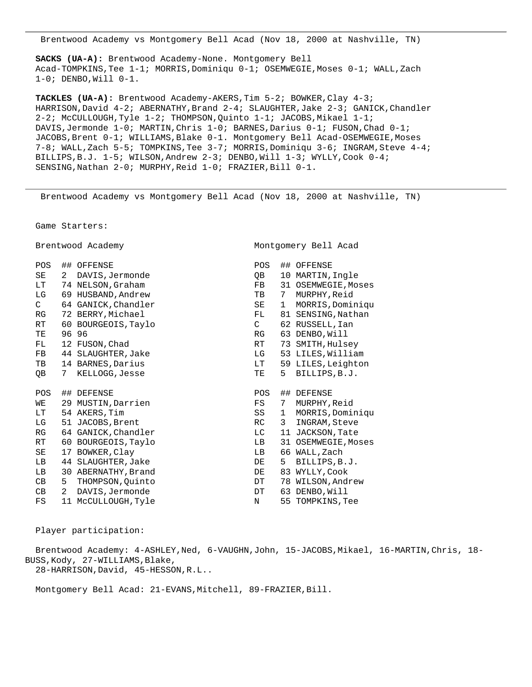Brentwood Academy vs Montgomery Bell Acad (Nov 18, 2000 at Nashville, TN)

 **SACKS (UA-A):** Brentwood Academy-None. Montgomery Bell Acad-TOMPKINS,Tee 1-1; MORRIS,Dominiqu 0-1; OSEMWEGIE,Moses 0-1; WALL,Zach 1-0; DENBO,Will 0-1.

 **TACKLES (UA-A):** Brentwood Academy-AKERS,Tim 5-2; BOWKER,Clay 4-3; HARRISON, David 4-2; ABERNATHY, Brand 2-4; SLAUGHTER, Jake 2-3; GANICK, Chandler 2-2; McCULLOUGH,Tyle 1-2; THOMPSON,Quinto 1-1; JACOBS,Mikael 1-1; DAVIS,Jermonde 1-0; MARTIN,Chris 1-0; BARNES,Darius 0-1; FUSON,Chad 0-1; JACOBS, Brent 0-1; WILLIAMS, Blake 0-1. Montgomery Bell Acad-OSEMWEGIE, Moses 7-8; WALL,Zach 5-5; TOMPKINS,Tee 3-7; MORRIS,Dominiqu 3-6; INGRAM,Steve 4-4; BILLIPS,B.J. 1-5; WILSON,Andrew 2-3; DENBO,Will 1-3; WYLLY,Cook 0-4; SENSING, Nathan 2-0; MURPHY, Reid 1-0; FRAZIER, Bill 0-1.

Brentwood Academy vs Montgomery Bell Acad (Nov 18, 2000 at Nashville, TN)

Game Starters:

Brentwood Academy Montgomery Bell Acad

| POS           |    | ## OFFENSE          | <b>POS</b>   |    | ## OFFENSE          |
|---------------|----|---------------------|--------------|----|---------------------|
| SE            | 2  | DAVIS, Jermonde     | QВ           | 10 | MARTIN, Ingle       |
| LT.           |    | 74 NELSON, Graham   | FB.          |    | 31 OSEMWEGIE, Moses |
| LG            |    | 69 HUSBAND, Andrew  | TB           | 7  | MURPHY, Reid        |
| $\mathcal{C}$ |    | 64 GANICK, Chandler | SE           | 1  | MORRIS, Dominiqu    |
| RG            |    | 72 BERRY, Michael   | FL           | 81 | SENSING, Nathan     |
| <b>RT</b>     | 60 | BOURGEOIS, Taylo    | $\mathsf{C}$ |    | 62 RUSSELL, Ian     |
| TЕ            |    | 96 96               | RG           |    | 63 DENBO, Will      |
| FL.           |    | 12 FUSON, Chad      | RT           | 73 | SMITH, Hulsey       |
| FB            |    | 44 SLAUGHTER, Jake  | LG           |    | 53 LILES, William   |
| TB            |    | 14 BARNES, Darius   | LT           |    | 59 LILES, Leighton  |
| QВ            | 7  | KELLOGG, Jesse      | TE           | 5  | BILLIPS, B.J.       |
|               |    |                     |              |    |                     |
|               |    |                     |              |    |                     |
| POS           | ## | DEFENSE             | <b>POS</b>   |    | ## DEFENSE          |
| WЕ            | 29 | MUSTIN, Darrien     | FS           | 7  | MURPHY, Reid        |
| LT.           |    | 54 AKERS, Tim       | SS           | 1  | MORRIS, Dominiqu    |
| LG            | 51 | JACOBS, Brent       | RC.          | 3  | INGRAM, Steve       |
| RG            |    | 64 GANICK, Chandler | LС           |    | 11 JACKSON, Tate    |
| RT.           |    | 60 BOURGEOIS, Taylo | LB           |    | 31 OSEMWEGIE, Moses |
| SE            | 17 | BOWKER, Clay        | LB           |    | 66 WALL, Zach       |
| LВ            |    | 44 SLAUGHTER, Jake  | DE           | 5  | BILLIPS, B.J.       |
| LВ            |    | 30 ABERNATHY, Brand | DE           |    | 83 WYLLY, Cook      |
| CВ            | 5  | THOMPSON, Quinto    | DΤ           |    | 78 WILSON, Andrew   |
| CB            | 2  | DAVIS, Jermonde     | DT           |    | 63 DENBO, Will      |
| FS            | 11 | McCULLOUGH, Tyle    | N            | 55 | TOMPKINS, Tee       |

Player participation:

 Brentwood Academy: 4-ASHLEY,Ned, 6-VAUGHN,John, 15-JACOBS,Mikael, 16-MARTIN,Chris, 18- BUSS,Kody, 27-WILLIAMS,Blake, 28-HARRISON,David, 45-HESSON,R.L..

Montgomery Bell Acad: 21-EVANS, Mitchell, 89-FRAZIER, Bill.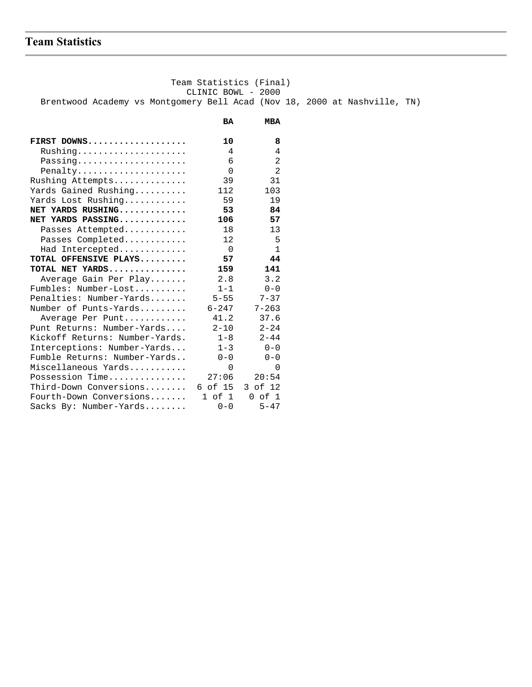# **Team Statistics**

 Team Statistics (Final) CLINIC BOWL - 2000 Brentwood Academy vs Montgomery Bell Acad (Nov 18, 2000 at Nashville, TN)  **BA MBA**

| FIRST DOWNS                    | 10             | 8              |
|--------------------------------|----------------|----------------|
| Rushing                        | 4              | 4              |
| Passing                        | 6              | 2              |
| Penalty                        | $\Omega$       | $\overline{2}$ |
| Rushing Attempts               | 39             | 31             |
| Yards Gained Rushing           | 112            | 103            |
| Yards Lost Rushing             | 59             | 19             |
| NET YARDS RUSHING              | 53             | 84             |
| NET YARDS PASSING              | 106            | 57             |
| Passes Attempted               | 18             | 13             |
| Passes Completed               | 12             | 5              |
| Had Intercepted                | $\overline{0}$ | $\mathbf{1}$   |
| TOTAL OFFENSIVE PLAYS          | 57             | 44             |
| TOTAL NET YARDS                | 159            | 141            |
| Average Gain Per Play          | 2.8            | 3.2            |
| Fumbles: Number-Lost           | $1 - 1$        | $0 - 0$        |
| Penalties: Number-Yards        | $5 - 55$       | $7 - 37$       |
| Number of Punts-Yards          | $6 - 247$      | $7 - 263$      |
| Average Per Punt               | 41.2           | 37.6           |
| Punt Returns: Number-Yards     | $2 - 10$       | $2 - 24$       |
| Kickoff Returns: Number-Yards. | $1 - 8$        | $2 - 44$       |
| Interceptions: Number-Yards    | $1 - 3$        | $0 - 0$        |
| Fumble Returns: Number-Yards   | $0 - 0$        | $0 - 0$        |
| Miscellaneous Yards            | $\Omega$       | $\Omega$       |
| Possession Time                | 27:06          | 20:54          |
| Third-Down Conversions         | 6 of 15        | 3 of 12        |
| Fourth-Down Conversions        | 1 of 1         | $0$ of $1$     |
| Sacks By: Number-Yards         | $0 - 0$        | $5 - 47$       |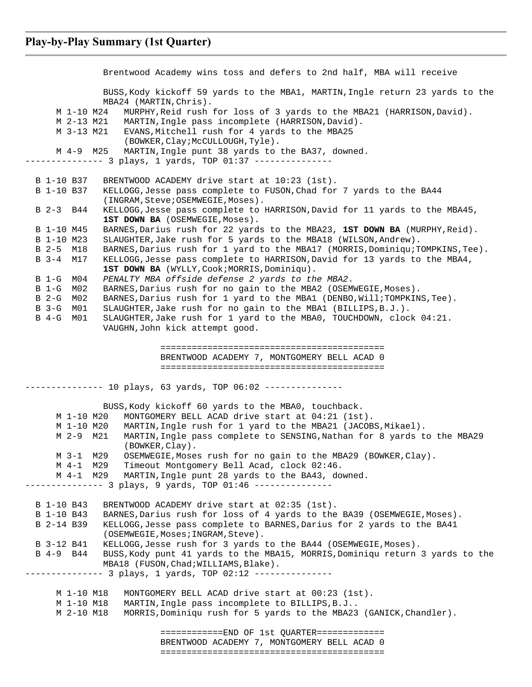Brentwood Academy wins toss and defers to 2nd half, MBA will receive BUSS,Kody kickoff 59 yards to the MBA1, MARTIN,Ingle return 23 yards to the MBA24 (MARTIN,Chris). M 1-10 M24 MURPHY,Reid rush for loss of 3 yards to the MBA21 (HARRISON,David). M 2-13 M21 MARTIN,Ingle pass incomplete (HARRISON,David). M 3-13 M21 EVANS,Mitchell rush for 4 yards to the MBA25 (BOWKER,Clay;McCULLOUGH,Tyle). M 4-9 M25 MARTIN,Ingle punt 38 yards to the BA37, downed. -------------- 3 plays, 1 yards, TOP 01:37 -------------- B 1-10 B37 BRENTWOOD ACADEMY drive start at 10:23 (1st). B 1-10 B37 KELLOGG,Jesse pass complete to FUSON,Chad for 7 yards to the BA44 (INGRAM,Steve;OSEMWEGIE,Moses). B 2-3 B44 KELLOGG,Jesse pass complete to HARRISON,David for 11 yards to the MBA45, 1ST DOWN BA (OSEMWEGIE, Moses). B 1-10 M45 BARNES,Darius rush for 22 yards to the MBA23, **1ST DOWN BA** (MURPHY,Reid). B 1-10 M23 SLAUGHTER,Jake rush for 5 yards to the MBA18 (WILSON,Andrew). B 2-5 M18 BARNES,Darius rush for 1 yard to the MBA17 (MORRIS,Dominiqu;TOMPKINS,Tee). B 3-4 M17 KELLOGG,Jesse pass complete to HARRISON,David for 13 yards to the MBA4, **1ST DOWN BA** (WYLLY, Cook; MORRIS, Dominiqu). B 1-G M04 *PENALTY MBA offside defense 2 yards to the MBA2*. B 1-G M02 BARNES,Darius rush for no gain to the MBA2 (OSEMWEGIE,Moses). B 2-G M02 BARNES,Darius rush for 1 yard to the MBA1 (DENBO,Will;TOMPKINS,Tee). B 3-G M01 SLAUGHTER,Jake rush for no gain to the MBA1 (BILLIPS,B.J.). B 4-G M01 SLAUGHTER,Jake rush for 1 yard to the MBA0, TOUCHDOWN, clock 04:21. VAUGHN,John kick attempt good. =========================================== BRENTWOOD ACADEMY 7, MONTGOMERY BELL ACAD 0 =========================================== --------------- 10 plays, 63 yards, TOP 06:02 --------------- BUSS,Kody kickoff 60 yards to the MBA0, touchback. M 1-10 M20 MONTGOMERY BELL ACAD drive start at 04:21 (1st). M 1-10 M20 MARTIN,Ingle rush for 1 yard to the MBA21 (JACOBS,Mikael). M 2-9 M21 MARTIN,Ingle pass complete to SENSING,Nathan for 8 yards to the MBA29 (BOWKER,Clay). M 3-1 M29 OSEMWEGIE,Moses rush for no gain to the MBA29 (BOWKER,Clay). M 4-1 M29 Timeout Montgomery Bell Acad, clock 02:46. M 4-1 M29 MARTIN,Ingle punt 28 yards to the BA43, downed. ------------- 3 plays, 9 yards, TOP 01:46 --------------- B 1-10 B43 BRENTWOOD ACADEMY drive start at 02:35 (1st). B 1-10 B43 BARNES,Darius rush for loss of 4 yards to the BA39 (OSEMWEGIE,Moses). B 2-14 B39 KELLOGG,Jesse pass complete to BARNES,Darius for 2 yards to the BA41 (OSEMWEGIE, Moses; INGRAM, Steve). B 3-12 B41 KELLOGG, Jesse rush for 3 yards to the BA44 (OSEMWEGIE, Moses). B 4-9 B44 BUSS,Kody punt 41 yards to the MBA15, MORRIS,Dominiqu return 3 yards to the MBA18 (FUSON, Chad; WILLIAMS, Blake). --------------- 3 plays, 1 yards, TOP 02:12 --------------- M 1-10 M18 MONTGOMERY BELL ACAD drive start at 00:23 (1st). M 1-10 M18 MARTIN,Ingle pass incomplete to BILLIPS,B.J.. M 2-10 M18 MORRIS,Dominiqu rush for 5 yards to the MBA23 (GANICK,Chandler). ============END OF 1st QUARTER============= BRENTWOOD ACADEMY 7, MONTGOMERY BELL ACAD 0 ===========================================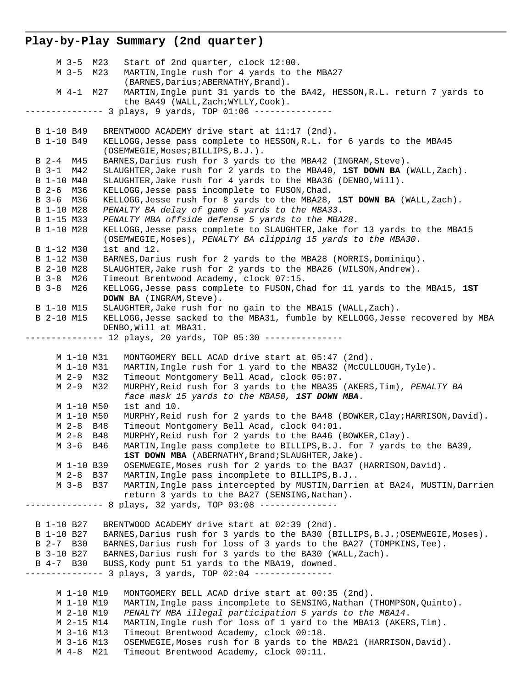### **Play-by-Play Summary (2nd quarter)**

 M 3-5 M23 Start of 2nd quarter, clock 12:00. M 3-5 M23 MARTIN,Ingle rush for 4 yards to the MBA27 (BARNES, Darius; ABERNATHY, Brand). M 4-1 M27 MARTIN,Ingle punt 31 yards to the BA42, HESSON,R.L. return 7 yards to the BA49 (WALL,Zach;WYLLY,Cook). -------------- 3 plays, 9 yards, TOP 01:06 --------------- B 1-10 B49 BRENTWOOD ACADEMY drive start at 11:17 (2nd). B 1-10 B49 KELLOGG,Jesse pass complete to HESSON,R.L. for 6 yards to the MBA45 (OSEMWEGIE,Moses;BILLIPS,B.J.). B 2-4 M45 BARNES, Darius rush for 3 yards to the MBA42 (INGRAM, Steve). B 3-1 M42 SLAUGHTER,Jake rush for 2 yards to the MBA40, **1ST DOWN BA** (WALL,Zach). B 1-10 M40 SLAUGHTER,Jake rush for 4 yards to the MBA36 (DENBO,Will). B 2-6 M36 KELLOGG,Jesse pass incomplete to FUSON,Chad. B 3-6 M36 KELLOGG,Jesse rush for 8 yards to the MBA28, **1ST DOWN BA** (WALL,Zach). B 1-10 M28 *PENALTY BA delay of game 5 yards to the MBA33*. B 1-15 M33 *PENALTY MBA offside defense 5 yards to the MBA28*. B 1-10 M28 KELLOGG,Jesse pass complete to SLAUGHTER,Jake for 13 yards to the MBA15 (OSEMWEGIE,Moses), *PENALTY BA clipping 15 yards to the MBA30*. B 1-12 M30 1st and 12. B 1-12 M30 BARNES,Darius rush for 2 yards to the MBA28 (MORRIS,Dominiqu). B 2-10 M28 SLAUGHTER,Jake rush for 2 yards to the MBA26 (WILSON,Andrew). B 3-8 M26 Timeout Brentwood Academy, clock 07:15. B 3-8 M26 KELLOGG,Jesse pass complete to FUSON,Chad for 11 yards to the MBA15, **1ST DOWN BA** (INGRAM,Steve). B 1-10 M15 SLAUGHTER,Jake rush for no gain to the MBA15 (WALL,Zach). B 2-10 M15 KELLOGG,Jesse sacked to the MBA31, fumble by KELLOGG,Jesse recovered by MBA DENBO,Will at MBA31. -------------- 12 plays, 20 yards, TOP 05:30 --------------- M 1-10 M31 MONTGOMERY BELL ACAD drive start at 05:47 (2nd). M 1-10 M31 MARTIN,Ingle rush for 1 yard to the MBA32 (McCULLOUGH,Tyle). M 2-9 M32 Timeout Montgomery Bell Acad, clock 05:07. M 2-9 M32 MURPHY,Reid rush for 3 yards to the MBA35 (AKERS,Tim), *PENALTY BA face mask 15 yards to the MBA50, 1ST DOWN MBA*. M 1-10 M50 1st and 10. M 1-10 M50 MURPHY,Reid rush for 2 yards to the BA48 (BOWKER,Clay;HARRISON,David). M 2-8 B48 Timeout Montgomery Bell Acad, clock 04:01. M 2-8 B48 MURPHY,Reid rush for 2 yards to the BA46 (BOWKER,Clay). M 3-6 B46 MARTIN,Ingle pass complete to BILLIPS,B.J. for 7 yards to the BA39, **1ST DOWN MBA** (ABERNATHY, Brand; SLAUGHTER, Jake). M 1-10 B39 OSEMWEGIE,Moses rush for 2 yards to the BA37 (HARRISON,David). M 2-8 B37 MARTIN,Ingle pass incomplete to BILLIPS,B.J.. M 3-8 B37 MARTIN,Ingle pass intercepted by MUSTIN,Darrien at BA24, MUSTIN,Darrien return 3 yards to the BA27 (SENSING,Nathan). -------------- 8 plays, 32 yards, TOP 03:08 --------------- B 1-10 B27 BRENTWOOD ACADEMY drive start at 02:39 (2nd). B 1-10 B27 BARNES,Darius rush for 3 yards to the BA30 (BILLIPS,B.J.;OSEMWEGIE,Moses). B 2-7 B30 BARNES,Darius rush for loss of 3 yards to the BA27 (TOMPKINS,Tee). B 3-10 B27 BARNES, Darius rush for 3 yards to the BA30 (WALL, Zach). B 4-7 B30 BUSS,Kody punt 51 yards to the MBA19, downed. --------------- 3 plays, 3 yards, TOP 02:04 --------------- M 1-10 M19 MONTGOMERY BELL ACAD drive start at 00:35 (2nd). M 1-10 M19 MARTIN,Ingle pass incomplete to SENSING,Nathan (THOMPSON,Quinto). M 2-10 M19 *PENALTY MBA illegal participation 5 yards to the MBA14*. M 2-15 M14 MARTIN,Ingle rush for loss of 1 yard to the MBA13 (AKERS,Tim). M 3-16 M13 Timeout Brentwood Academy, clock 00:18. M 3-16 M13 OSEMWEGIE,Moses rush for 8 yards to the MBA21 (HARRISON,David). M 4-8 M21 Timeout Brentwood Academy, clock 00:11.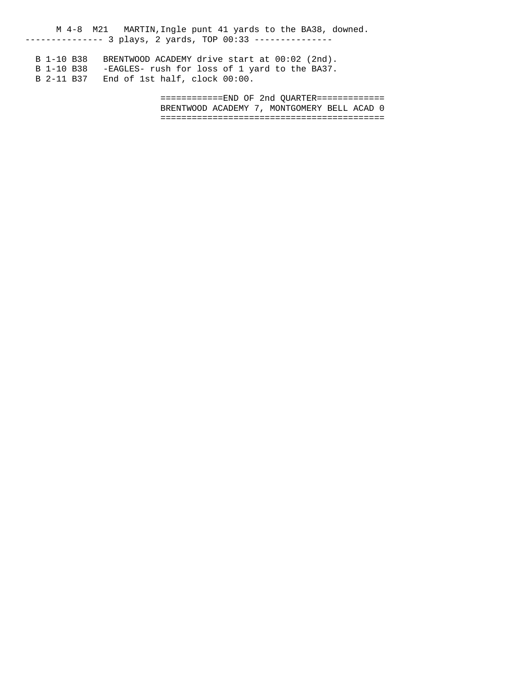M 4-8 M21 MARTIN,Ingle punt 41 yards to the BA38, downed. -------------- 3 plays, 2 yards, TOP 00:33 ---------------

 B 1-10 B38 BRENTWOOD ACADEMY drive start at 00:02 (2nd). B 1-10 B38 -EAGLES- rush for loss of 1 yard to the BA37. B 2-11 B37 End of 1st half, clock 00:00.

> ============END OF 2nd QUARTER============= BRENTWOOD ACADEMY 7, MONTGOMERY BELL ACAD 0 ===========================================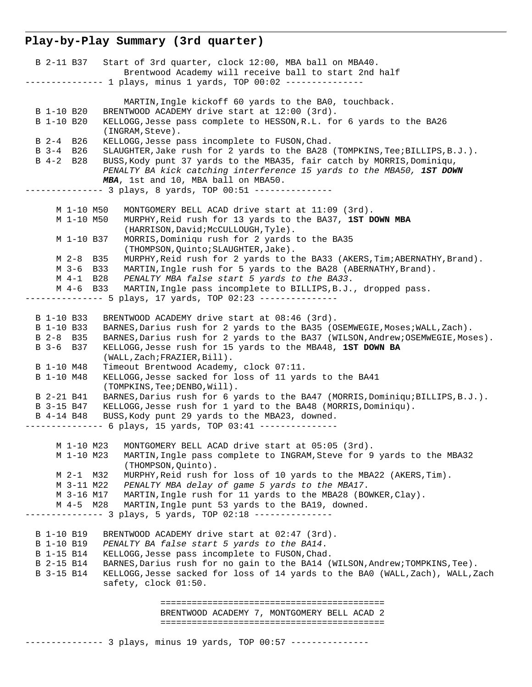## **Play-by-Play Summary (3rd quarter)**

| B 2-11 B37 Start of 3rd quarter, clock 12:00, MBA ball on MBA40.<br>Brentwood Academy will receive ball to start 2nd half                                                                           |
|-----------------------------------------------------------------------------------------------------------------------------------------------------------------------------------------------------|
| -------------- 1 plays, minus 1 yards, TOP 00:02 ---------------                                                                                                                                    |
| MARTIN, Ingle kickoff 60 yards to the BA0, touchback.                                                                                                                                               |
| B 1-10 B20<br>BRENTWOOD ACADEMY drive start at 12:00 (3rd).                                                                                                                                         |
| B 1-10 B20<br>KELLOGG, Jesse pass complete to HESSON, R.L. for 6 yards to the BA26<br>(INGRAM, Steve).                                                                                              |
| KELLOGG, Jesse pass incomplete to FUSON, Chad.<br>B 2-4 B 26                                                                                                                                        |
| B 3-4 B26<br>SLAUGHTER, Jake rush for 2 yards to the BA28 (TOMPKINS, Tee; BILLIPS, B.J.).                                                                                                           |
| B 4-2 B28<br>BUSS, Kody punt 37 yards to the MBA35, fair catch by MORRIS, Dominiqu,<br>PENALTY BA kick catching interference 15 yards to the MBA50, IST DOWN<br>MBA, 1st and 10, MBA ball on MBA50. |
| --------------- 3 plays, 8 yards, TOP 00:51 ---------------                                                                                                                                         |
|                                                                                                                                                                                                     |
| M 1-10 M50<br>MONTGOMERY BELL ACAD drive start at 11:09 (3rd).                                                                                                                                      |
| M 1-10 M50<br>MURPHY, Reid rush for 13 yards to the BA37, 1ST DOWN MBA                                                                                                                              |
| (HARRISON, David; McCULLOUGH, Tyle).                                                                                                                                                                |
| MORRIS, Dominiqu rush for 2 yards to the BA35<br>M 1-10 B37<br>(THOMPSON, Quinto; SLAUGHTER, Jake).                                                                                                 |
| M 2-8 B35<br>MURPHY, Reid rush for 2 yards to the BA33 (AKERS, Tim; ABERNATHY, Brand).                                                                                                              |
| M 3-6 B33<br>MARTIN, Ingle rush for 5 yards to the BA28 (ABERNATHY, Brand).                                                                                                                         |
| PENALTY MBA false start 5 yards to the BA33.<br>M 4-1 B28                                                                                                                                           |
| MARTIN, Ingle pass incomplete to BILLIPS, B.J., dropped pass.<br>M 4-6 B33                                                                                                                          |
| ------------- 5 plays, 17 yards, TOP 02:23 ---------------                                                                                                                                          |
|                                                                                                                                                                                                     |
| BRENTWOOD ACADEMY drive start at 08:46 (3rd).<br>B 1-10 B33<br>B 1-10 B33<br>BARNES, Darius rush for 2 yards to the BA35 (OSEMWEGIE, Moses; WALL, Zach).                                            |
| B 2-8 B35<br>BARNES, Darius rush for 2 yards to the BA37 (WILSON, Andrew; OSEMWEGIE, Moses).                                                                                                        |
| B 3-6 B 37<br>KELLOGG, Jesse rush for 15 yards to the MBA48, 1ST DOWN BA                                                                                                                            |
| (WALL, Zach; FRAZIER, Bill).                                                                                                                                                                        |
| B 1-10 M48<br>Timeout Brentwood Academy, clock 07:11.                                                                                                                                               |
| B 1-10 M48<br>KELLOGG, Jesse sacked for loss of 11 yards to the BA41                                                                                                                                |
| (TOMPKINS, Tee; DENBO, Will).<br>B 2-21 B41                                                                                                                                                         |
| BARNES, Darius rush for 6 yards to the BA47 (MORRIS, Dominiqu; BILLIPS, B.J.).<br>KELLOGG, Jesse rush for 1 yard to the BA48 (MORRIS, Dominiqu).<br>B 3-15 B47                                      |
| B 4-14 B48<br>BUSS, Kody punt 29 yards to the MBA23, downed.                                                                                                                                        |
| --------------- 6 plays, 15 yards, TOP 03:41 ---------------                                                                                                                                        |
|                                                                                                                                                                                                     |
| M 1-10 M23 MONTGOMERY BELL ACAD drive start at 05:05 (3rd).                                                                                                                                         |
| MARTIN, Ingle pass complete to INGRAM, Steve for 9 yards to the MBA32<br>M 1-10 M23<br>(THOMPSON, Quinto).                                                                                          |
| MURPHY, Reid rush for loss of 10 yards to the MBA22 (AKERS, Tim).<br>M 2-1 M32                                                                                                                      |
| M 3-11 M22<br>PENALTY MBA delay of game 5 yards to the MBA17.                                                                                                                                       |
| MARTIN, Ingle rush for 11 yards to the MBA28 (BOWKER, Clay).<br>M 3-16 M17                                                                                                                          |
| MARTIN, Ingle punt 53 yards to the BA19, downed.<br>M 4-5 M28                                                                                                                                       |
|                                                                                                                                                                                                     |
| B 1-10 B19<br>BRENTWOOD ACADEMY drive start at 02:47 (3rd).                                                                                                                                         |
| B 1-10 B19<br>PENALTY BA false start 5 yards to the BA14.                                                                                                                                           |
| B 1-15 B14<br>KELLOGG, Jesse pass incomplete to FUSON, Chad.                                                                                                                                        |
| BARNES, Darius rush for no gain to the BA14 (WILSON, Andrew; TOMPKINS, Tee).<br>B 2-15 B14                                                                                                          |
| B 3-15 B14<br>KELLOGG, Jesse sacked for loss of 14 yards to the BAO (WALL, Zach), WALL, Zach<br>safety, clock 01:50.                                                                                |
|                                                                                                                                                                                                     |
| BRENTWOOD ACADEMY 7, MONTGOMERY BELL ACAD 2                                                                                                                                                         |
|                                                                                                                                                                                                     |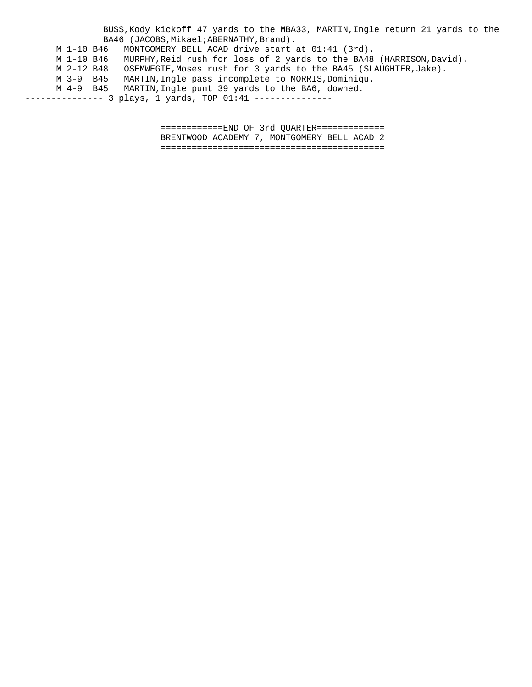BUSS,Kody kickoff 47 yards to the MBA33, MARTIN,Ingle return 21 yards to the BA46 (JACOBS, Mikael; ABERNATHY, Brand). M 1-10 B46 MONTGOMERY BELL ACAD drive start at 01:41 (3rd). M 1-10 B46 MURPHY,Reid rush for loss of 2 yards to the BA48 (HARRISON,David). M 2-12 B48 OSEMWEGIE,Moses rush for 3 yards to the BA45 (SLAUGHTER,Jake). M 3-9 B45 MARTIN,Ingle pass incomplete to MORRIS,Dominiqu. M 4-9 B45 MARTIN,Ingle punt 39 yards to the BA6, downed. -------------- 3 plays, 1 yards, TOP 01:41 ---------------

> ============END OF 3rd QUARTER============= BRENTWOOD ACADEMY 7, MONTGOMERY BELL ACAD 2 ===========================================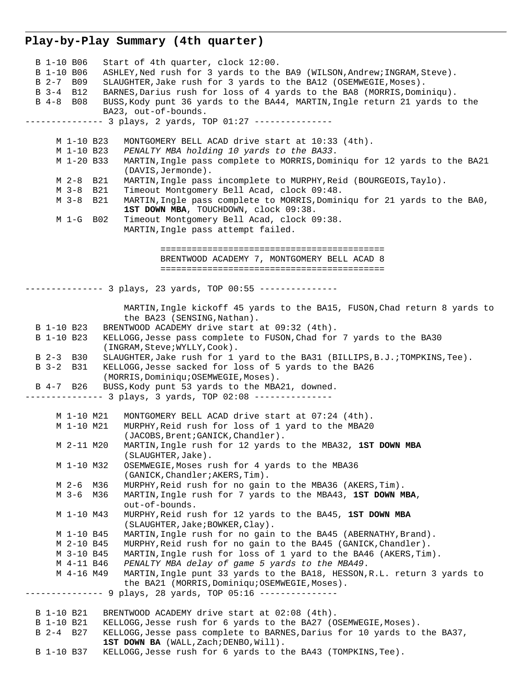### **Play-by-Play Summary (4th quarter)**

 B 1-10 B06 Start of 4th quarter, clock 12:00. B 1-10 B06 ASHLEY, Ned rush for 3 yards to the BA9 (WILSON, Andrew; INGRAM, Steve). B 2-7 B09 SLAUGHTER,Jake rush for 3 yards to the BA12 (OSEMWEGIE,Moses). B 3-4 B12 BARNES,Darius rush for loss of 4 yards to the BA8 (MORRIS,Dominiqu). B 4-8 B08 BUSS,Kody punt 36 yards to the BA44, MARTIN,Ingle return 21 yards to the BA23, out-of-bounds. -------------- 3 plays, 2 yards, TOP 01:27 --------------- M 1-10 B23 MONTGOMERY BELL ACAD drive start at 10:33 (4th). M 1-10 B23 *PENALTY MBA holding 10 yards to the BA33*. M 1-20 B33 MARTIN,Ingle pass complete to MORRIS,Dominiqu for 12 yards to the BA21 (DAVIS,Jermonde). M 2-8 B21 MARTIN,Ingle pass incomplete to MURPHY,Reid (BOURGEOIS,Taylo). M 3-8 B21 Timeout Montgomery Bell Acad, clock 09:48. M 3-8 B21 MARTIN,Ingle pass complete to MORRIS,Dominiqu for 21 yards to the BA0, **1ST DOWN MBA**, TOUCHDOWN, clock 09:38. M 1-G B02 Timeout Montgomery Bell Acad, clock 09:38. MARTIN,Ingle pass attempt failed. =========================================== BRENTWOOD ACADEMY 7, MONTGOMERY BELL ACAD 8 =========================================== --------------- 3 plays, 23 yards, TOP 00:55 --------------- MARTIN,Ingle kickoff 45 yards to the BA15, FUSON,Chad return 8 yards to the BA23 (SENSING,Nathan). B 1-10 B23 BRENTWOOD ACADEMY drive start at 09:32 (4th). B 1-10 B23 KELLOGG,Jesse pass complete to FUSON,Chad for 7 yards to the BA30 (INGRAM,Steve;WYLLY,Cook). B 2-3 B30 SLAUGHTER,Jake rush for 1 yard to the BA31 (BILLIPS,B.J.;TOMPKINS,Tee). B 3-2 B31 KELLOGG,Jesse sacked for loss of 5 yards to the BA26 (MORRIS,Dominiqu;OSEMWEGIE,Moses). B 4-7 B26 BUSS,Kody punt 53 yards to the MBA21, downed. -------------- 3 plays, 3 yards, TOP 02:08 --------------- M 1-10 M21 MONTGOMERY BELL ACAD drive start at 07:24 (4th). M 1-10 M21 MURPHY,Reid rush for loss of 1 yard to the MBA20 (JACOBS, Brent; GANICK, Chandler). M 2-11 M20 MARTIN,Ingle rush for 12 yards to the MBA32, **1ST DOWN MBA** (SLAUGHTER,Jake). M 1-10 M32 OSEMWEGIE,Moses rush for 4 yards to the MBA36 (GANICK,Chandler;AKERS,Tim). M 2-6 M36 MURPHY,Reid rush for no gain to the MBA36 (AKERS,Tim). M 3-6 M36 MARTIN,Ingle rush for 7 yards to the MBA43, **1ST DOWN MBA**, out-of-bounds. M 1-10 M43 MURPHY,Reid rush for 12 yards to the BA45, **1ST DOWN MBA** (SLAUGHTER,Jake;BOWKER,Clay). M 1-10 B45 MARTIN,Ingle rush for no gain to the BA45 (ABERNATHY,Brand). M 2-10 B45 MURPHY,Reid rush for no gain to the BA45 (GANICK,Chandler). M 3-10 B45 MARTIN,Ingle rush for loss of 1 yard to the BA46 (AKERS,Tim). M 4-11 B46 *PENALTY MBA delay of game 5 yards to the MBA49*. M 4-16 M49 MARTIN,Ingle punt 33 yards to the BA18, HESSON,R.L. return 3 yards to the BA21 (MORRIS, Dominiqu; OSEMWEGIE, Moses). --------------- 9 plays, 28 yards, TOP 05:16 --------------- B 1-10 B21 BRENTWOOD ACADEMY drive start at 02:08 (4th). B 1-10 B21 KELLOGG, Jesse rush for 6 yards to the BA27 (OSEMWEGIE, Moses). B 2-4 B27 KELLOGG,Jesse pass complete to BARNES,Darius for 10 yards to the BA37, 1ST DOWN BA (WALL, Zach; DENBO, Will). B 1-10 B37 KELLOGG,Jesse rush for 6 yards to the BA43 (TOMPKINS,Tee).